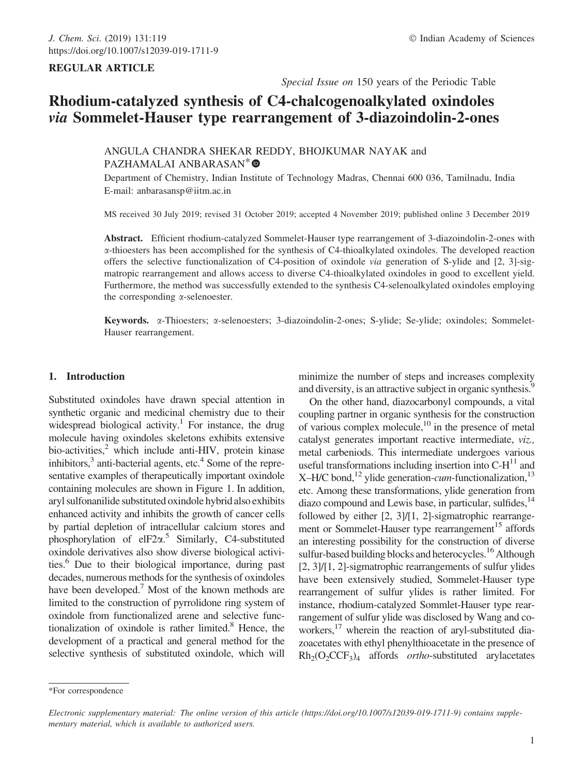# REGULAR ARTICLE

Special Issue on 150 years of the Periodic Table

# Rhodium-catalyzed synthesis of C4-chalcogenoalkylated oxindoles via Sommelet-Hauser type rearrangement of 3-diazoindolin-2-ones

ANGULA CHANDRA SHEKAR REDDY, BHOJKUMAR NAYAK and PAZHAMALAI ANBARASAN<sup>\*</sup>

Department of Chemistry, Indian Institute of Technology Madras, Chennai 600 036, Tamilnadu, India E-mail: anbarasansp@iitm.ac.in

MS received 30 July 2019; revised 31 October 2019; accepted 4 November 2019; published online 3 December 2019

Abstract. Efficient rhodium-catalyzed Sommelet-Hauser type rearrangement of 3-diazoindolin-2-ones with a-thioesters has been accomplished for the synthesis of C4-thioalkylated oxindoles. The developed reaction offers the selective functionalization of C4-position of oxindole via generation of S-ylide and [2, 3]-sigmatropic rearrangement and allows access to diverse C4-thioalkylated oxindoles in good to excellent yield. Furthermore, the method was successfully extended to the synthesis C4-selenoalkylated oxindoles employing the corresponding  $\alpha$ -selenoester.

Keywords. a-Thioesters; a-selenoesters; 3-diazoindolin-2-ones; S-ylide; Se-ylide; oxindoles; Sommelet-Hauser rearrangement.

# 1. Introduction

Substituted oxindoles have drawn special attention in synthetic organic and medicinal chemistry due to their widespread biological activity.<sup>1</sup> For instance, the drug molecule having oxindoles skeletons exhibits extensive bio-activities, $^2$  which include anti-HIV, protein kinase inhibitors, $3$  anti-bacterial agents, etc. $4$  Some of the representative examples of therapeutically important oxindole containing molecules are shown in Figure 1. In addition, aryl sulfonanilide substituted oxindole hybrid also exhibits enhanced activity and inhibits the growth of cancer cells by partial depletion of intracellular calcium stores and phosphorylation of elF2 $\alpha$ <sup>5</sup> Similarly, C4-substituted oxindole derivatives also show diverse biological activities.<sup>6</sup> Due to their biological importance, during past decades, numerous methods for the synthesis of oxindoles have been developed.<sup>7</sup> Most of the known methods are limited to the construction of pyrrolidone ring system of oxindole from functionalized arene and selective functionalization of oxindole is rather limited. $8$  Hence, the development of a practical and general method for the selective synthesis of substituted oxindole, which will minimize the number of steps and increases complexity and diversity, is an attractive subject in organic synthesis.<sup>9</sup>

On the other hand, diazocarbonyl compounds, a vital coupling partner in organic synthesis for the construction of various complex molecule, $^{10}$  in the presence of metal catalyst generates important reactive intermediate, viz., metal carbeniods. This intermediate undergoes various useful transformations including insertion into  $C-H$ <sup>11</sup> and X–H/C bond,<sup>12</sup> ylide generation-*cum*-functionalization,<sup>13</sup> etc. Among these transformations, ylide generation from diazo compound and Lewis base, in particular, sulfides,  $14$ followed by either [2, 3]/[1, 2]-sigmatrophic rearrangement or Sommelet-Hauser type rearrangement<sup>15</sup> affords an interesting possibility for the construction of diverse sulfur-based building blocks and heterocycles.<sup>16</sup> Although [2, 3]/[1, 2]-sigmatrophic rearrangements of sulfur ylides have been extensively studied, Sommelet-Hauser type rearrangement of sulfur ylides is rather limited. For instance, rhodium-catalyzed Sommlet-Hauser type rearrangement of sulfur ylide was disclosed by Wang and coworkers,<sup>17</sup> wherein the reaction of aryl-substituted diazoacetates with ethyl phenylthioacetate in the presence of  $Rh_2(O_2CCF_3)_4$  affords *ortho*-substituted arylacetates

<sup>\*</sup>For correspondence

Electronic supplementary material: The online version of this article (https://doi.org/10.1007/s12039-019-1711-9) contains supplementary material, which is available to authorized users.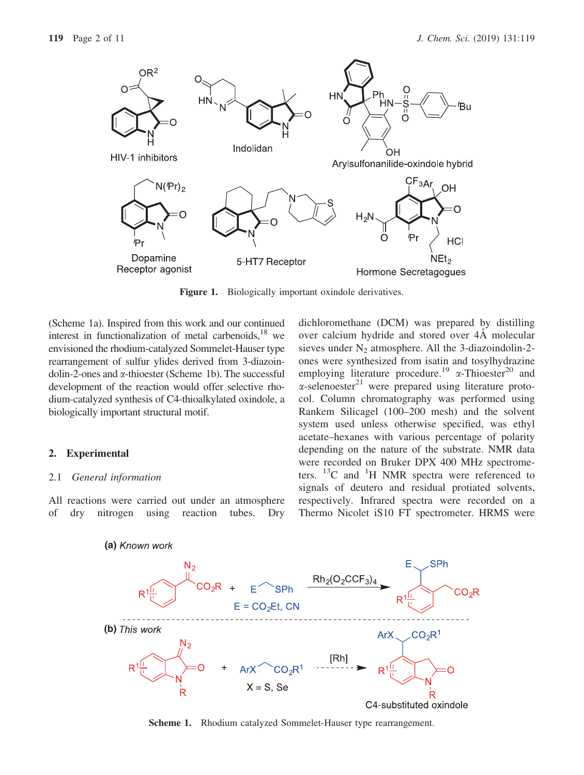

Figure 1. Biologically important oxindole derivatives.

(Scheme 1a). Inspired from this work and our continued interest in functionalization of metal carbenoids, $^{18}$  we envisioned the rhodium-catalyzed Sommelet-Hauser type rearrangement of sulfur ylides derived from 3-diazoindolin-2-ones and  $\alpha$ -thioester (Scheme 1b). The successful development of the reaction would offer selective rhodium-catalyzed synthesis of C4-thioalkylated oxindole, a biologically important structural motif.

# 2. Experimental

#### 2.1 General information

All reactions were carried out under an atmosphere of dry nitrogen using reaction tubes. Dry dichloromethane (DCM) was prepared by distilling over calcium hydride and stored over 4A molecular sieves under  $N_2$  atmosphere. All the 3-diazoindolin-2ones were synthesized from isatin and tosylhydrazine employing literature procedure.<sup>19</sup>  $\alpha$ -Thioester<sup>20</sup> and  $\alpha$ -selenoester<sup>21</sup> were prepared using literature protocol. Column chromatography was performed using Rankem Silicagel (100–200 mesh) and the solvent system used unless otherwise specified, was ethyl acetate–hexanes with various percentage of polarity depending on the nature of the substrate. NMR data were recorded on Bruker DPX 400 MHz spectrometers.  $^{13}$ C and  $^{1}$ H NMR spectra were referenced to signals of deutero and residual protiated solvents, respectively. Infrared spectra were recorded on a Thermo Nicolet iS10 FT spectrometer. HRMS were



Scheme 1. Rhodium catalyzed Sommelet-Hauser type rearrangement.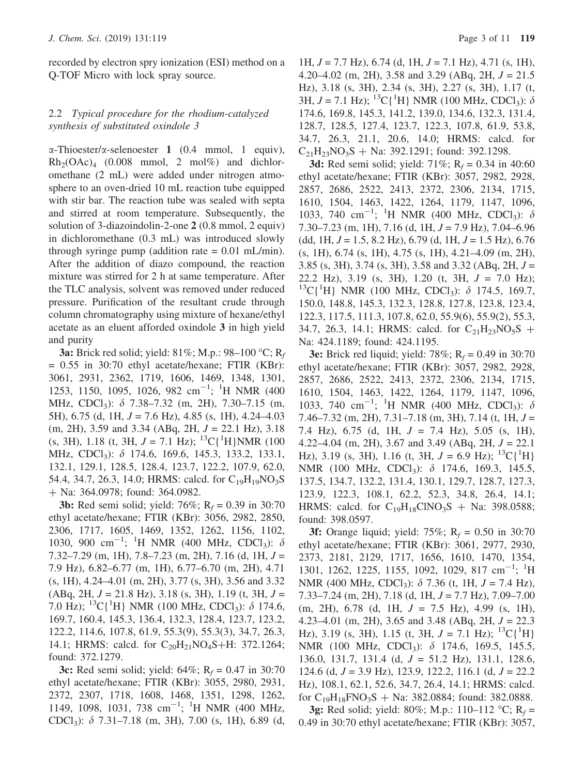recorded by electron spry ionization (ESI) method on a Q-TOF Micro with lock spray source.

# 2.2 Typical procedure for the rhodium-catalyzed synthesis of substituted oxindole 3

 $\alpha$ -Thioester/ $\alpha$ -selenoester 1 (0.4 mmol, 1 equiv),  $Rh_2(OAc)_4$  (0.008 mmol, 2 mol%) and dichloromethane (2 mL) were added under nitrogen atmosphere to an oven-dried 10 mL reaction tube equipped with stir bar. The reaction tube was sealed with septa and stirred at room temperature. Subsequently, the solution of 3-diazoindolin-2-one 2 (0.8 mmol, 2 equiv) in dichloromethane (0.3 mL) was introduced slowly through syringe pump (addition rate  $= 0.01$  mL/min). After the addition of diazo compound, the reaction mixture was stirred for 2 h at same temperature. After the TLC analysis, solvent was removed under reduced pressure. Purification of the resultant crude through column chromatography using mixture of hexane/ethyl acetate as an eluent afforded oxindole 3 in high yield and purity

**3a:** Brick red solid; yield: 81%; M.p.: 98-100 °C; R<sub>f</sub>  $= 0.55$  in 30:70 ethyl acetate/hexane; FTIR (KBr): 3061, 2931, 2362, 1719, 1606, 1469, 1348, 1301, 1253, 1150, 1095, 1026, 982 cm<sup>-1</sup>; <sup>1</sup>H NMR (400 MHz, CDCl<sub>3</sub>):  $\delta$  7.38–7.32 (m, 2H), 7.30–7.15 (m, 5H),  $6.75$  (d, 1H,  $J = 7.6$  Hz),  $4.85$  (s, 1H),  $4.24-4.03$  $(m, 2H), 3.59$  and 3.34 (ABq, 2H,  $J = 22.1$  Hz), 3.18  $(s, 3H)$ , 1.18 (t, 3H,  $J = 7.1$  Hz); <sup>13</sup>C{<sup>1</sup>H}NMR (100) MHz, CDCl<sub>3</sub>): δ 174.6, 169.6, 145.3, 133.2, 133.1, 132.1, 129.1, 128.5, 128.4, 123.7, 122.2, 107.9, 62.0, 54.4, 34.7, 26.3, 14.0; HRMS: calcd. for  $C_{19}H_{19}NO_3S$ ? Na: 364.0978; found: 364.0982.

**3b:** Red semi solid; yield:  $76\%$ ; R<sub>f</sub> = 0.39 in 30:70 ethyl acetate/hexane; FTIR (KBr): 3056, 2982, 2850, 2306, 1717, 1605, 1469, 1352, 1262, 1156, 1102, 1030, 900 cm<sup>-1</sup>; <sup>1</sup>H NMR (400 MHz, CDCl<sub>3</sub>):  $\delta$  $7.32 - 7.29$  (m, 1H),  $7.8 - 7.23$  (m, 2H),  $7.16$  (d, 1H,  $J =$ 7.9 Hz), 6.82–6.77 (m, 1H), 6.77–6.70 (m, 2H), 4.71 (s, 1H), 4.24–4.01 (m, 2H), 3.77 (s, 3H), 3.56 and 3.32  $(ABq, 2H, J = 21.8 Hz), 3.18$  (s, 3H), 1.19 (t, 3H,  $J =$ 7.0 Hz); <sup>13</sup>C{<sup>1</sup>H} NMR (100 MHz, CDCl<sub>3</sub>):  $\delta$  174.6, 169.7, 160.4, 145.3, 136.4, 132.3, 128.4, 123.7, 123.2, 122.2, 114.6, 107.8, 61.9, 55.3(9), 55.3(3), 34.7, 26.3, 14.1; HRMS: calcd. for  $C_{20}H_{21}NO_4S+H$ : 372.1264; found: 372.1279.

3c: Red semi solid; yield:  $64\%$ ; R<sub>f</sub> = 0.47 in 30:70 ethyl acetate/hexane; FTIR (KBr): 3055, 2980, 2931, 2372, 2307, 1718, 1608, 1468, 1351, 1298, 1262, 1149, 1098, 1031, 738 cm<sup>-1</sup>; <sup>1</sup>H NMR (400 MHz, CDCl<sub>3</sub>):  $\delta$  7.31–7.18 (m, 3H), 7.00 (s, 1H), 6.89 (d,

1H,  $J = 7.7$  Hz), 6.74 (d, 1H,  $J = 7.1$  Hz), 4.71 (s, 1H), 4.20–4.02 (m, 2H), 3.58 and 3.29 (ABq, 2H,  $J = 21.5$ Hz), 3.18 (s, 3H), 2.34 (s, 3H), 2.27 (s, 3H), 1.17 (t, 3H,  $J = 7.1$  Hz); <sup>13</sup>C{<sup>1</sup>H} NMR (100 MHz, CDCl<sub>3</sub>):  $\delta$ 174.6, 169.8, 145.3, 141.2, 139.0, 134.6, 132.3, 131.4, 128.7, 128.5, 127.4, 123.7, 122.3, 107.8, 61.9, 53.8, 34.7, 26.3, 21.1, 20.6, 14.0; HRMS: calcd. for  $C_{21}H_{23}NO_3S + Na: 392.1291$ ; found: 392.1298.

3d: Red semi solid; yield: 71%;  $R_f = 0.34$  in 40:60 ethyl acetate/hexane; FTIR (KBr): 3057, 2982, 2928, 2857, 2686, 2522, 2413, 2372, 2306, 2134, 1715, 1610, 1504, 1463, 1422, 1264, 1179, 1147, 1096, 1033, 740 cm<sup>-1</sup>; <sup>1</sup>H NMR (400 MHz, CDCl<sub>3</sub>):  $\delta$  $7.30 - 7.23$  (m, 1H),  $7.16$  (d, 1H,  $J = 7.9$  Hz),  $7.04 - 6.96$  $(dd, 1H, J = 1.5, 8.2 Hz$ , 6.79  $(d, 1H, J = 1.5 Hz)$ , 6.76 (s, 1H), 6.74 (s, 1H), 4.75 (s, 1H), 4.21–4.09 (m, 2H), 3.85 (s, 3H), 3.74 (s, 3H), 3.58 and 3.32 (ABq, 2H,  $J =$ 22.2 Hz), 3.19 (s, 3H), 1.20 (t, 3H,  $J = 7.0$  Hz); <sup>13</sup>C{<sup>1</sup>H} NMR (100 MHz, CDCl<sub>3</sub>):  $\delta$  174.5, 169.7, 150.0, 148.8, 145.3, 132.3, 128.8, 127.8, 123.8, 123.4, 122.3, 117.5, 111.3, 107.8, 62.0, 55.9(6), 55.9(2), 55.3, 34.7, 26.3, 14.1; HRMS: calcd. for  $C_{21}H_{23}NO_5S$  + Na: 424.1189; found: 424.1195.

**3e:** Brick red liquid; yield: 78%;  $R_f = 0.49$  in 30:70 ethyl acetate/hexane; FTIR (KBr): 3057, 2982, 2928, 2857, 2686, 2522, 2413, 2372, 2306, 2134, 1715, 1610, 1504, 1463, 1422, 1264, 1179, 1147, 1096, 1033, 740 cm<sup>-1</sup>; <sup>1</sup>H NMR (400 MHz, CDCl<sub>3</sub>):  $\delta$ 7.46–7.32 (m, 2H), 7.31–7.18 (m, 3H), 7.14 (t, 1H,  $J =$ 7.4 Hz), 6.75 (d, 1H,  $J = 7.4$  Hz), 5.05 (s, 1H), 4.22–4.04 (m, 2H), 3.67 and 3.49 (ABq, 2H,  $J = 22.1$ ) Hz), 3.19 (s, 3H), 1.16 (t, 3H,  $J = 6.9$  Hz);  $^{13}C(^{1}H)$ NMR (100 MHz, CDCl<sub>3</sub>):  $\delta$  174.6, 169.3, 145.5, 137.5, 134.7, 132.2, 131.4, 130.1, 129.7, 128.7, 127.3, 123.9, 122.3, 108.1, 62.2, 52.3, 34.8, 26.4, 14.1; HRMS: calcd. for  $C_{19}H_{18}CINO_3S + Na: 398.0588;$ found: 398.0597.

**3f:** Orange liquid; yield:  $75\%$ ;  $R_f = 0.50$  in 30:70 ethyl acetate/hexane; FTIR (KBr): 3061, 2977, 2930, 2373, 2181, 2129, 1717, 1656, 1610, 1470, 1354, 1301, 1262, 1225, 1155, 1092, 1029, 817 cm<sup>-1</sup>; <sup>1</sup>H NMR (400 MHz, CDCl<sub>3</sub>):  $\delta$  7.36 (t, 1H, J = 7.4 Hz),  $7.33 - 7.24$  (m, 2H),  $7.18$  (d, 1H,  $J = 7.7$  Hz),  $7.09 - 7.00$ (m, 2H), 6.78 (d, 1H, J = 7.5 Hz), 4.99 (s, 1H), 4.23–4.01 (m, 2H), 3.65 and 3.48 (ABq, 2H,  $J = 22.3$ ) Hz), 3.19 (s, 3H), 1.15 (t, 3H,  $J = 7.1$  Hz);  $^{13}C(^{1}H)$ NMR (100 MHz, CDCl<sub>3</sub>): δ 174.6, 169.5, 145.5, 136.0, 131.7, 131.4 (d, J = 51.2 Hz), 131.1, 128.6, 124.6 (d,  $J = 3.9$  Hz), 123.9, 122.2, 116.1 (d,  $J = 22.2$ Hz), 108.1, 62.1, 52.6, 34.7, 26.4, 14.1; HRMS: calcd. for  $C_{19}H_{18}FNO_3S + Na$ : 382.0884; found: 382.0888.

**3g:** Red solid; yield: 80%; M.p.: 110–112 °C; R<sub>f</sub> = 0.49 in 30:70 ethyl acetate/hexane; FTIR (KBr): 3057,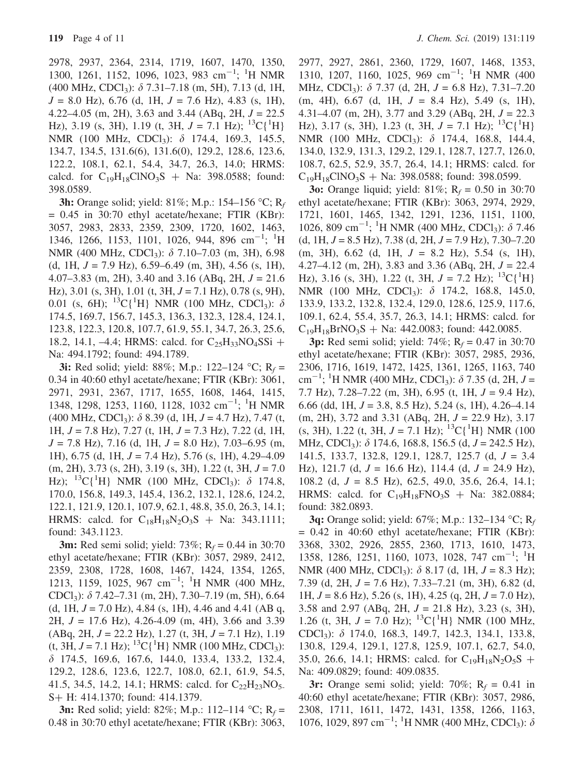2978, 2937, 2364, 2314, 1719, 1607, 1470, 1350, 1300, 1261, 1152, 1096, 1023, 983 cm<sup>-1</sup>; <sup>1</sup>H NMR (400 MHz, CDCl<sub>3</sub>):  $\delta$  7.31–7.18 (m, 5H), 7.13 (d, 1H,  $J = 8.0$  Hz), 6.76 (d, 1H,  $J = 7.6$  Hz), 4.83 (s, 1H), 4.22–4.05 (m, 2H), 3.63 and 3.44 (ABq, 2H,  $J = 22.5$ Hz), 3.19 (s, 3H), 1.19 (t, 3H,  $J = 7.1$  Hz); <sup>13</sup>C{<sup>1</sup>H} NMR (100 MHz, CDCl<sub>3</sub>):  $\delta$  174.4, 169.3, 145.5, 134.7, 134.5, 131.6(6), 131.6(0), 129.2, 128.6, 123.6, 122.2, 108.1, 62.1, 54.4, 34.7, 26.3, 14.0; HRMS: calcd. for  $C_{19}H_{18}CINO_3S + Na: 398.0588$ ; found: 398.0589.

**3h:** Orange solid; yield: 81%; M.p.: 154–156 °C; R<sub>f</sub>  $= 0.45$  in 30:70 ethyl acetate/hexane; FTIR (KBr): 3057, 2983, 2833, 2359, 2309, 1720, 1602, 1463, 1346, 1266, 1153, 1101, 1026, 944, 896 cm<sup>-1</sup>; <sup>1</sup>H NMR (400 MHz, CDCl<sub>3</sub>):  $\delta$  7.10–7.03 (m, 3H), 6.98 (d, 1H,  $J = 7.9$  Hz), 6.59–6.49 (m, 3H), 4.56 (s, 1H), 4.07–3.83 (m, 2H), 3.40 and 3.16 (ABq, 2H,  $J = 21.6$ ) Hz), 3.01 (s, 3H), 1.01 (t, 3H,  $J = 7.1$  Hz), 0.78 (s, 9H), 0.01 (s, 6H); <sup>13</sup>C{<sup>1</sup>H} NMR (100 MHz, CDCl<sub>3</sub>):  $\delta$ 174.5, 169.7, 156.7, 145.3, 136.3, 132.3, 128.4, 124.1, 123.8, 122.3, 120.8, 107.7, 61.9, 55.1, 34.7, 26.3, 25.6, 18.2, 14.1, -4.4; HRMS: calcd. for  $C_{25}H_{33}NO_4SSi +$ Na: 494.1792; found: 494.1789.

**3i:** Red solid; yield: 88%; M.p.: 122–124 °C; R<sub>f</sub> = 0.34 in 40:60 ethyl acetate/hexane; FTIR (KBr): 3061, 2971, 2931, 2367, 1717, 1655, 1608, 1464, 1415, 1348, 1298, 1253, 1160, 1128, 1032 cm<sup>-1</sup>; <sup>1</sup>H NMR  $(400 \text{ MHz}, \text{CDCl}_3)$ :  $\delta$  8.39 (d, 1H, J = 4.7 Hz), 7.47 (t, 1H,  $J = 7.8$  Hz), 7.27 (t, 1H,  $J = 7.3$  Hz), 7.22 (d, 1H,  $J = 7.8$  Hz), 7.16 (d, 1H,  $J = 8.0$  Hz), 7.03–6.95 (m, 1H), 6.75 (d, 1H,  $J = 7.4$  Hz), 5.76 (s, 1H), 4.29–4.09  $(m, 2H), 3.73$  (s, 2H), 3.19 (s, 3H), 1.22 (t, 3H,  $J = 7.0$ Hz); <sup>13</sup>C{<sup>1</sup>H} NMR (100 MHz, CDCl<sub>3</sub>):  $\delta$  174.8, 170.0, 156.8, 149.3, 145.4, 136.2, 132.1, 128.6, 124.2, 122.1, 121.9, 120.1, 107.9, 62.1, 48.8, 35.0, 26.3, 14.1; HRMS: calcd. for  $C_{18}H_{18}N_2O_3S$  + Na: 343.1111; found: 343.1123.

**3m:** Red semi solid; yield: 73%;  $R_f = 0.44$  in 30:70 ethyl acetate/hexane; FTIR (KBr): 3057, 2989, 2412, 2359, 2308, 1728, 1608, 1467, 1424, 1354, 1265, 1213, 1159, 1025, 967 cm<sup>-1</sup>; <sup>1</sup>H NMR (400 MHz, CDCl<sub>3</sub>):  $\delta$  7.42–7.31 (m, 2H), 7.30–7.19 (m, 5H), 6.64 (d, 1H,  $J = 7.0$  Hz), 4.84 (s, 1H), 4.46 and 4.41 (AB q, 2H,  $J = 17.6$  Hz), 4.26-4.09 (m, 4H), 3.66 and 3.39  $(ABq, 2H, J = 22.2 Hz), 1.27 (t, 3H, J = 7.1 Hz), 1.19$  $(t, 3H, J = 7.1 \text{ Hz})$ ; <sup>13</sup>C{<sup>1</sup>H} NMR (100 MHz, CDCl<sub>3</sub>): d 174.5, 169.6, 167.6, 144.0, 133.4, 133.2, 132.4, 129.2, 128.6, 123.6, 122.7, 108.0, 62.1, 61.9, 54.5, 41.5, 34.5, 14.2, 14.1; HRMS: calcd. for  $C_{22}H_{23}NO_5$ S+ H: 414.1370; found: 414.1379.

**3n:** Red solid; yield: 82%; M.p.: 112–114 °C;  $R_f =$ 0.48 in 30:70 ethyl acetate/hexane; FTIR (KBr): 3063, 2977, 2927, 2861, 2360, 1729, 1607, 1468, 1353, 1310, 1207, 1160, 1025, 969 cm<sup>-1</sup>; <sup>1</sup>H NMR (400 MHz, CDCl<sub>3</sub>):  $\delta$  7.37 (d, 2H,  $J = 6.8$  Hz), 7.31–7.20  $(m, 4H), 6.67$  (d, 1H,  $J = 8.4$  Hz), 5.49 (s, 1H), 4.31–4.07 (m, 2H), 3.77 and 3.29 (ABq, 2H,  $J = 22.3$ ) Hz), 3.17 (s, 3H), 1.23 (t, 3H,  $J = 7.1$  Hz); <sup>13</sup>C{<sup>1</sup>H} NMR (100 MHz, CDCl<sub>3</sub>): δ 174.4, 168.8, 144.4, 134.0, 132.9, 131.3, 129.2, 129.1, 128.7, 127.7, 126.0, 108.7, 62.5, 52.9, 35.7, 26.4, 14.1; HRMS: calcd. for  $C_{19}H_{18}CINO_3S + Na: 398.0588$ ; found: 398.0599.

**3o:** Orange liquid; yield:  $81\%$ ;  $R_f = 0.50$  in 30:70 ethyl acetate/hexane; FTIR (KBr): 3063, 2974, 2929, 1721, 1601, 1465, 1342, 1291, 1236, 1151, 1100, 1026, 809 cm<sup>-1</sup>; <sup>1</sup>H NMR (400 MHz, CDCl<sub>3</sub>):  $\delta$  7.46  $(d, 1H, J = 8.5 Hz), 7.38 (d, 2H, J = 7.9 Hz), 7.30–7.20$  $(m, 3H), 6.62$  (d, 1H,  $J = 8.2$  Hz), 5.54 (s, 1H), 4.27–4.12 (m, 2H), 3.83 and 3.36 (ABq, 2H,  $J = 22.4$ ) Hz), 3.16 (s, 3H), 1.22 (t, 3H,  $J = 7.2$  Hz);  $^{13}C(^{1}H)$ NMR (100 MHz, CDCl<sub>3</sub>):  $\delta$  174.2, 168.8, 145.0, 133.9, 133.2, 132.8, 132.4, 129.0, 128.6, 125.9, 117.6, 109.1, 62.4, 55.4, 35.7, 26.3, 14.1; HRMS: calcd. for  $C_{19}H_{18}BrNO_3S + Na$ : 442.0083; found: 442.0085.

3p: Red semi solid; yield: 74%;  $R_f = 0.47$  in 30:70 ethyl acetate/hexane; FTIR (KBr): 3057, 2985, 2936, 2306, 1716, 1619, 1472, 1425, 1361, 1265, 1163, 740 cm<sup>-1</sup>; <sup>1</sup>H NMR (400 MHz, CDCl<sub>3</sub>):  $\delta$  7.35 (d, 2H, J = 7.7 Hz),  $7.28 - 7.22$  (m, 3H), 6.95 (t, 1H,  $J = 9.4$  Hz), 6.66 (dd, 1H,  $J = 3.8$ , 8.5 Hz), 5.24 (s, 1H), 4.26–4.14  $(m, 2H), 3.72$  and 3.31 (ABq, 2H,  $J = 22.9$  Hz), 3.17  $(s, 3H)$ , 1.22 (t, 3H,  $J = 7.1$  Hz); <sup>13</sup>C{<sup>1</sup>H} NMR (100) MHz, CDCl<sub>3</sub>):  $\delta$  174.6, 168.8, 156.5 (d,  $J = 242.5$  Hz), 141.5, 133.7, 132.8, 129.1, 128.7, 125.7 (d, J = 3.4 Hz), 121.7 (d,  $J = 16.6$  Hz), 114.4 (d,  $J = 24.9$  Hz), 108.2 (d,  $J = 8.5$  Hz), 62.5, 49.0, 35.6, 26.4, 14.1; HRMS: calcd. for  $C_{19}H_{18}FNO_3S + Na$ : 382.0884; found: 382.0893.

**3q:** Orange solid; yield: 67%; M.p.: 132–134 °C;  $R_f$  $= 0.42$  in 40:60 ethyl acetate/hexane; FTIR (KBr): 3368, 3302, 2926, 2855, 2360, 1713, 1610, 1473, 1358, 1286, 1251, 1160, 1073, 1028, 747 cm<sup>-1</sup>; <sup>1</sup>H NMR (400 MHz, CDCl<sub>3</sub>):  $\delta$  8.17 (d, 1H, J = 8.3 Hz); 7.39 (d, 2H,  $J = 7.6$  Hz), 7.33–7.21 (m, 3H), 6.82 (d, 1H,  $J = 8.6$  Hz), 5.26 (s, 1H), 4.25 (q, 2H,  $J = 7.0$  Hz), 3.58 and 2.97 (ABq, 2H,  $J = 21.8$  Hz), 3.23 (s, 3H), 1.26 (t, 3H,  $J = 7.0$  Hz); <sup>13</sup>C{<sup>1</sup>H} NMR (100 MHz, CDCl3): d 174.0, 168.3, 149.7, 142.3, 134.1, 133.8, 130.8, 129.4, 129.1, 127.8, 125.9, 107.1, 62.7, 54.0, 35.0, 26.6, 14.1; HRMS: calcd. for  $C_{19}H_{18}N_2O_5S$  + Na: 409.0829; found: 409.0835.

3r: Orange semi solid; yield: 70%;  $R_f = 0.41$  in 40:60 ethyl acetate/hexane; FTIR (KBr): 3057, 2986, 2308, 1711, 1611, 1472, 1431, 1358, 1266, 1163, 1076, 1029, 897 cm<sup>-1</sup>; <sup>1</sup>H NMR (400 MHz, CDCl<sub>3</sub>):  $\delta$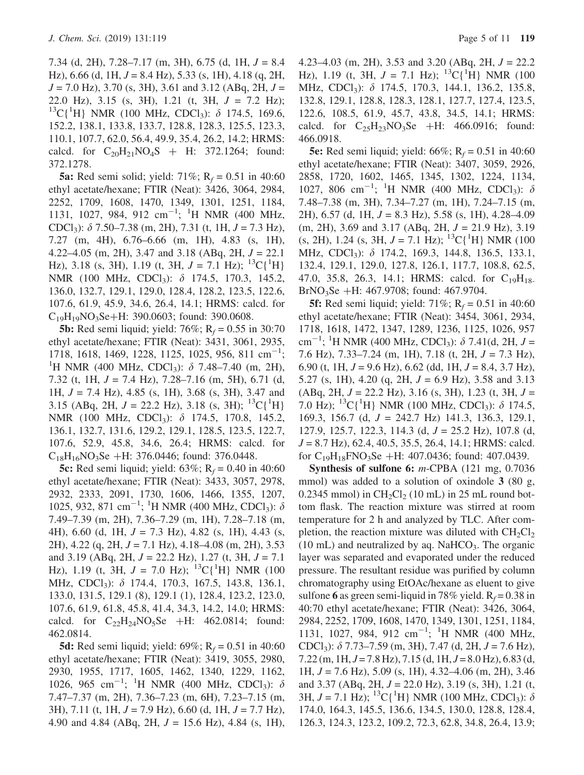7.34 (d, 2H), 7.28–7.17 (m, 3H), 6.75 (d, 1H,  $J = 8.4$ Hz), 6.66 (d, 1H,  $J = 8.4$  Hz), 5.33 (s, 1H), 4.18 (q, 2H,  $J = 7.0$  Hz), 3.70 (s, 3H), 3.61 and 3.12 (ABq, 2H,  $J =$ 22.0 Hz), 3.15 (s, 3H), 1.21 (t, 3H, J = 7.2 Hz); <sup>13</sup>C{<sup>1</sup>H} NMR (100 MHz, CDCl<sub>3</sub>):  $\delta$  174.5, 169.6, 152.2, 138.1, 133.8, 133.7, 128.8, 128.3, 125.5, 123.3, 110.1, 107.7, 62.0, 56.4, 49.9, 35.4, 26.2, 14.2; HRMS: calcd. for  $C_{20}H_{21}NO_4S + H: 372.1264$ ; found: 372.1278.

**5a:** Red semi solid; yield:  $71\%$ ; R<sub>f</sub> = 0.51 in 40:60 ethyl acetate/hexane; FTIR (Neat): 3426, 3064, 2984, 2252, 1709, 1608, 1470, 1349, 1301, 1251, 1184, 1131, 1027, 984, 912 cm<sup>-1</sup>; <sup>1</sup>H NMR (400 MHz, CDCl<sub>3</sub>):  $\delta$  7.50–7.38 (m, 2H), 7.31 (t, 1H,  $J = 7.3$  Hz), 7.27 (m, 4H), 6.76–6.66 (m, 1H), 4.83 (s, 1H), 4.22–4.05 (m, 2H), 3.47 and 3.18 (ABq, 2H,  $J = 22.1$ ) Hz), 3.18 (s, 3H), 1.19 (t, 3H,  $J = 7.1$  Hz);  $^{13}C(^{1}H)$ NMR (100 MHz, CDCl<sub>3</sub>):  $\delta$  174.5, 170.3, 145.2, 136.0, 132.7, 129.1, 129.0, 128.4, 128.2, 123.5, 122.6, 107.6, 61.9, 45.9, 34.6, 26.4, 14.1; HRMS: calcd. for  $C_{19}H_{19}NO_3Se+H: 390.0603$ ; found: 390.0608.

**5b:** Red semi liquid; yield:  $76\%$ ; R<sub>f</sub> = 0.55 in 30:70 ethyl acetate/hexane; FTIR (Neat): 3431, 3061, 2935, 1718, 1618, 1469, 1228, 1125, 1025, 956, 811 cm<sup>-1</sup>; <sup>1</sup>H NMR (400 MHz, CDCl<sub>3</sub>):  $\delta$  7.48–7.40 (m, 2H), 7.32 (t, 1H,  $J = 7.4$  Hz), 7.28–7.16 (m, 5H), 6.71 (d, 1H,  $J = 7.4$  Hz), 4.85 (s, 1H), 3.68 (s, 3H), 3.47 and 3.15 (ABq, 2H,  $J = 22.2$  Hz), 3.18 (s, 3H); <sup>13</sup>C{<sup>1</sup>H} NMR (100 MHz, CDCl<sub>3</sub>): δ 174.5, 170.8, 145.2, 136.1, 132.7, 131.6, 129.2, 129.1, 128.5, 123.5, 122.7, 107.6, 52.9, 45.8, 34.6, 26.4; HRMS: calcd. for  $C_{18}H_{16}NO_3Se + H: 376.0446$ ; found: 376.0448.

**5c:** Red semi liquid; yield:  $63\%$ ; R<sub>f</sub> = 0.40 in 40:60 ethyl acetate/hexane; FTIR (Neat): 3433, 3057, 2978, 2932, 2333, 2091, 1730, 1606, 1466, 1355, 1207, 1025, 932, 871 cm<sup>-1</sup>; <sup>1</sup>H NMR (400 MHz, CDCl<sub>3</sub>):  $\delta$ 7.49–7.39 (m, 2H), 7.36–7.29 (m, 1H), 7.28–7.18 (m, 4H), 6.60 (d, 1H,  $J = 7.3$  Hz), 4.82 (s, 1H), 4.43 (s, 2H), 4.22 (q, 2H,  $J = 7.1$  Hz), 4.18–4.08 (m, 2H), 3.53 and 3.19 (ABq, 2H,  $J = 22.2$  Hz), 1.27 (t, 3H,  $J = 7.1$ Hz), 1.19 (t, 3H,  $J = 7.0$  Hz); <sup>13</sup>C{<sup>1</sup>H} NMR (100 MHz, CDCl<sub>3</sub>): δ 174.4, 170.3, 167.5, 143.8, 136.1, 133.0, 131.5, 129.1 (8), 129.1 (1), 128.4, 123.2, 123.0, 107.6, 61.9, 61.8, 45.8, 41.4, 34.3, 14.2, 14.0; HRMS: calcd. for  $C_{22}H_{24}NO_5Se$  +H: 462.0814; found: 462.0814.

**5d:** Red semi liquid; yield:  $69\%$ ; R<sub>f</sub> = 0.51 in 40:60 ethyl acetate/hexane; FTIR (Neat): 3419, 3055, 2980, 2930, 1955, 1717, 1605, 1462, 1340, 1229, 1162, 1026, 965 cm<sup>-1</sup>; <sup>1</sup>H NMR (400 MHz, CDCl<sub>3</sub>):  $\delta$ 7.47–7.37 (m, 2H), 7.36–7.23 (m, 6H), 7.23–7.15 (m, 3H), 7.11 (t, 1H,  $J = 7.9$  Hz), 6.60 (d, 1H,  $J = 7.7$  Hz), 4.90 and 4.84 (ABq, 2H,  $J = 15.6$  Hz), 4.84 (s, 1H), 4.23–4.03 (m, 2H), 3.53 and 3.20 (ABq, 2H,  $J = 22.2$ ) Hz), 1.19 (t, 3H,  $J = 7.1$  Hz);  $^{13}C(^{1}H)$  NMR (100) MHz, CDCl<sub>3</sub>): δ 174.5, 170.3, 144.1, 136.2, 135.8, 132.8, 129.1, 128.8, 128.3, 128.1, 127.7, 127.4, 123.5, 122.6, 108.5, 61.9, 45.7, 43.8, 34.5, 14.1; HRMS: calcd. for  $C_2$ <sub>5</sub>H<sub>23</sub>NO<sub>3</sub>Se +H: 466.0916; found: 466.0918.

**5e:** Red semi liquid; yield:  $66\%$ ; R<sub>f</sub> = 0.51 in 40:60 ethyl acetate/hexane; FTIR (Neat): 3407, 3059, 2926, 2858, 1720, 1602, 1465, 1345, 1302, 1224, 1134, 1027, 806 cm<sup>-1</sup>; <sup>1</sup>H NMR (400 MHz, CDCl<sub>3</sub>):  $\delta$ 7.48–7.38 (m, 3H), 7.34–7.27 (m, 1H), 7.24–7.15 (m, 2H), 6.57 (d, 1H,  $J = 8.3$  Hz), 5.58 (s, 1H), 4.28–4.09  $(m, 2H), 3.69$  and  $3.17$  (ABq, 2H,  $J = 21.9$  Hz),  $3.19$  $(s, 2H)$ , 1.24  $(s, 3H, J = 7.1 \text{ Hz})$ ; <sup>13</sup>C{<sup>1</sup>H} NMR (100) MHz, CDCl<sub>3</sub>): δ 174.2, 169.3, 144.8, 136.5, 133.1, 132.4, 129.1, 129.0, 127.8, 126.1, 117.7, 108.8, 62.5, 47.0, 35.8, 26.3, 14.1; HRMS: calcd. for  $C_{19}H_{18}$ BrNO<sub>3</sub>Se +H: 467.9708; found: 467.9704.

**5f:** Red semi liquid; yield:  $71\%$ ; R<sub>f</sub> = 0.51 in 40:60 ethyl acetate/hexane; FTIR (Neat): 3454, 3061, 2934, 1718, 1618, 1472, 1347, 1289, 1236, 1125, 1026, 957 cm<sup>-1</sup>; <sup>1</sup>H NMR (400 MHz, CDCl<sub>3</sub>):  $\delta$  7.41(d, 2H, J = 7.6 Hz), 7.33–7.24 (m, 1H), 7.18 (t, 2H,  $J = 7.3$  Hz), 6.90 (t, 1H,  $J = 9.6$  Hz), 6.62 (dd, 1H,  $J = 8.4$ , 3.7 Hz), 5.27 (s, 1H), 4.20 (q, 2H,  $J = 6.9$  Hz), 3.58 and 3.13  $(ABq, 2H, J = 22.2 Hz), 3.16$  (s, 3H), 1.23 (t, 3H,  $J =$ 7.0 Hz); <sup>13</sup>C{<sup>1</sup>H} NMR (100 MHz, CDCl<sub>3</sub>):  $\delta$  174.5, 169.3, 156.7 (d, J = 242.7 Hz) 141.3, 136.3, 129.1, 127.9, 125.7, 122.3, 114.3 (d,  $J = 25.2$  Hz), 107.8 (d,  $J = 8.7$  Hz), 62.4, 40.5, 35.5, 26.4, 14.1; HRMS: calcd. for  $C_{19}H_{18}FNO_3Se + H: 407.0436$ ; found: 407.0439.

Synthesis of sulfone 6: *m*-CPBA (121 mg, 0.7036) mmol) was added to a solution of oxindole 3 (80 g,  $0.2345$  mmol) in  $CH<sub>2</sub>Cl<sub>2</sub>$  (10 mL) in 25 mL round bottom flask. The reaction mixture was stirred at room temperature for 2 h and analyzed by TLC. After completion, the reaction mixture was diluted with  $CH_2Cl_2$  $(10 \text{ mL})$  and neutralized by aq. NaHCO<sub>3</sub>. The organic layer was separated and evaporated under the reduced pressure. The resultant residue was purified by column chromatography using EtOAc/hexane as eluent to give sulfone 6 as green semi-liquid in 78% yield.  $R_f = 0.38$  in 40:70 ethyl acetate/hexane; FTIR (Neat): 3426, 3064, 2984, 2252, 1709, 1608, 1470, 1349, 1301, 1251, 1184, 1131, 1027, 984, 912 cm<sup>-1</sup>; <sup>1</sup>H NMR (400 MHz, CDCl<sub>3</sub>):  $\delta$  7.73–7.59 (m, 3H), 7.47 (d, 2H,  $J = 7.6$  Hz),  $7.22$  (m,  $1H, J = 7.8$  Hz),  $7.15$  (d,  $1H, J = 8.0$  Hz),  $6.83$  (d, 1H,  $J = 7.6$  Hz),  $5.09$  (s, 1H),  $4.32-4.06$  (m, 2H),  $3.46$ and 3.37 (ABq, 2H,  $J = 22.0$  Hz), 3.19 (s, 3H), 1.21 (t, 3H,  $J = 7.1$  Hz); <sup>13</sup>C{<sup>1</sup>H} NMR (100 MHz, CDCl<sub>3</sub>):  $\delta$ 174.0, 164.3, 145.5, 136.6, 134.5, 130.0, 128.8, 128.4, 126.3, 124.3, 123.2, 109.2, 72.3, 62.8, 34.8, 26.4, 13.9;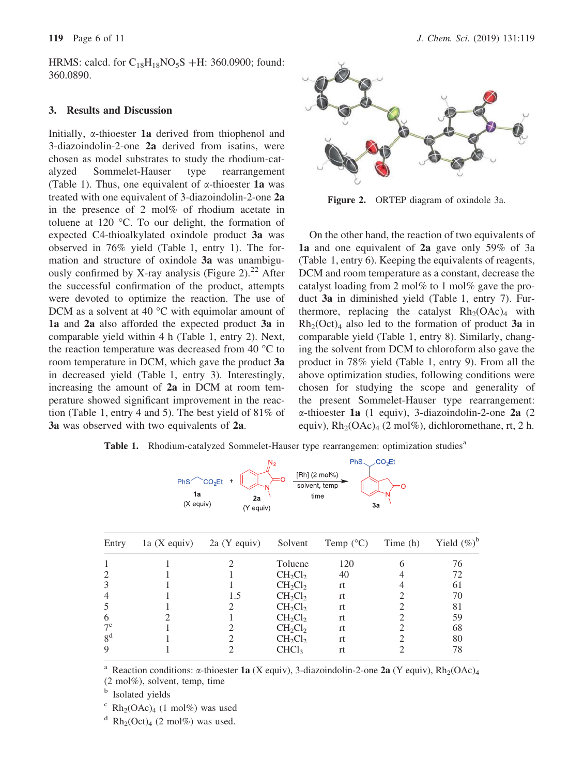HRMS: calcd. for  $C_{18}H_{18}NO_5S + H: 360.0900$ ; found: 360.0890.

### 3. Results and Discussion

Initially,  $\alpha$ -thioester 1a derived from thiophenol and 3-diazoindolin-2-one 2a derived from isatins, were chosen as model substrates to study the rhodium-catalyzed Sommelet-Hauser type rearrangement (Table 1). Thus, one equivalent of  $\alpha$ -thioester **1a** was treated with one equivalent of 3-diazoindolin-2-one 2a in the presence of 2 mol% of rhodium acetate in toluene at 120  $\degree$ C. To our delight, the formation of expected C4-thioalkylated oxindole product 3a was observed in 76% yield (Table 1, entry 1). The formation and structure of oxindole 3a was unambiguously confirmed by X-ray analysis (Figure 2).<sup>22</sup> After the successful confirmation of the product, attempts were devoted to optimize the reaction. The use of DCM as a solvent at 40  $\degree$ C with equimolar amount of 1a and 2a also afforded the expected product 3a in comparable yield within 4 h (Table 1, entry 2). Next, the reaction temperature was decreased from 40  $^{\circ}$ C to room temperature in DCM, which gave the product 3a in decreased yield (Table 1, entry 3). Interestingly, increasing the amount of 2a in DCM at room temperature showed significant improvement in the reaction (Table 1, entry 4 and 5). The best yield of 81% of 3a was observed with two equivalents of 2a.



Figure 2. ORTEP diagram of oxindole 3a.

On the other hand, the reaction of two equivalents of 1a and one equivalent of 2a gave only 59% of 3a (Table 1, entry 6). Keeping the equivalents of reagents, DCM and room temperature as a constant, decrease the catalyst loading from 2 mol% to 1 mol% gave the product 3a in diminished yield (Table 1, entry 7). Furthermore, replacing the catalyst  $Rh_2(OAc)_4$  with  $Rh<sub>2</sub>(Oct)<sub>4</sub>$  also led to the formation of product 3a in comparable yield (Table 1, entry 8). Similarly, changing the solvent from DCM to chloroform also gave the product in 78% yield (Table 1, entry 9). From all the above optimization studies, following conditions were chosen for studying the scope and generality of the present Sommelet-Hauser type rearrangement:  $\alpha$ -thioester 1a (1 equiv), 3-diazoindolin-2-one 2a (2 equiv),  $Rh_2(OAc)_4$  (2 mol%), dichloromethane, rt, 2 h.

Table 1. Rhodium-catalyzed Sommelet-Hauser type rearrangemen: optimization studies<sup>a</sup>



| Entry          | 1a(Xequiv) | $2a$ (Y equiv) | Solvent           | Temp $(^{\circ}C)$ | Time (h) | Yield $(\%)^b$ |
|----------------|------------|----------------|-------------------|--------------------|----------|----------------|
|                |            |                | Toluene           | 120                |          | 76             |
|                |            |                | $CH_2Cl_2$        | 40                 |          | 72             |
| 3              |            |                | $CH_2Cl_2$        | rt                 |          | 61             |
| $\overline{4}$ |            | 1.5            | $CH_2Cl_2$        | rt.                |          | 70             |
|                |            |                | $CH_2Cl_2$        | rt.                |          | 81             |
| 6              |            |                | $CH_2Cl_2$        | rt                 |          | 59             |
| $7^{\circ}$    |            |                | $CH_2Cl_2$        | rt.                |          | 68             |
| 8 <sup>d</sup> |            |                | $CH_2Cl_2$        | rt                 |          | 80             |
| 9              |            |                | CHCl <sub>3</sub> | rt                 |          | 78             |

<sup>a</sup> Reaction conditions:  $\alpha$ -thioester 1a (X equiv), 3-diazoindolin-2-one 2a (Y equiv), Rh<sub>2</sub>(OAc)<sub>4</sub> (2 mol%), solvent, temp, time

**b** Isolated yields

 $\rm\thinspace c\thinspace$  Rh<sub>2</sub>(OAc)<sub>4</sub> (1 mol%) was used

 $d$  Rh<sub>2</sub>(Oct)<sub>4</sub> (2 mol%) was used.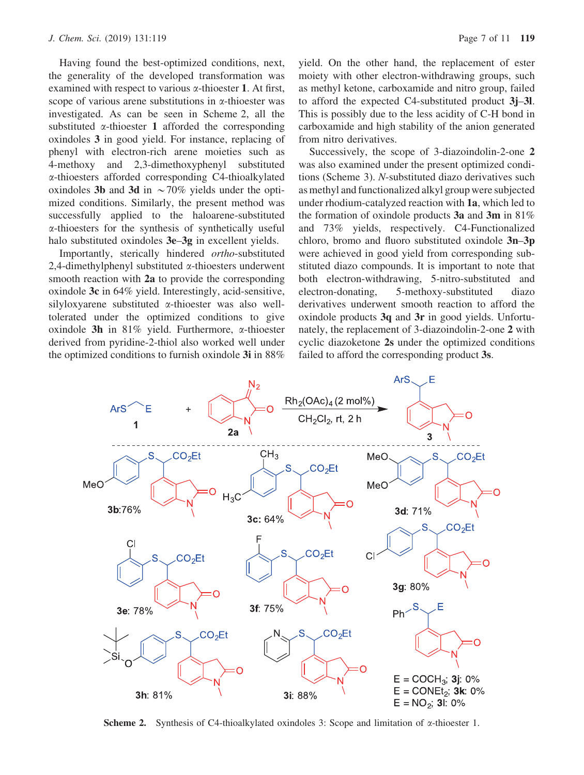Having found the best-optimized conditions, next, the generality of the developed transformation was examined with respect to various  $\alpha$ -thioester 1. At first, scope of various arene substitutions in  $\alpha$ -thioester was investigated. As can be seen in Scheme 2, all the substituted  $\alpha$ -thioester 1 afforded the corresponding oxindoles 3 in good yield. For instance, replacing of phenyl with electron-rich arene moieties such as 4-methoxy and 2,3-dimethoxyphenyl substituted a-thioesters afforded corresponding C4-thioalkylated oxindoles 3b and 3d in  $\sim$  70% yields under the optimized conditions. Similarly, the present method was successfully applied to the haloarene-substituted a-thioesters for the synthesis of synthetically useful halo substituted oxindoles  $3e-3g$  in excellent yields.

Importantly, sterically hindered ortho-substituted 2,4-dimethylphenyl substituted  $\alpha$ -thioesters underwent smooth reaction with 2a to provide the corresponding oxindole 3c in 64% yield. Interestingly, acid-sensitive, silyloxyarene substituted a-thioester was also welltolerated under the optimized conditions to give oxindole 3h in 81% yield. Furthermore,  $\alpha$ -thioester derived from pyridine-2-thiol also worked well under the optimized conditions to furnish oxindole 3i in 88% yield. On the other hand, the replacement of ester moiety with other electron-withdrawing groups, such as methyl ketone, carboxamide and nitro group, failed to afford the expected C4-substituted product 3j–3l. This is possibly due to the less acidity of C-H bond in carboxamide and high stability of the anion generated from nitro derivatives.

Successively, the scope of 3-diazoindolin-2-one 2 was also examined under the present optimized conditions (Scheme 3). N-substituted diazo derivatives such as methyl and functionalized alkyl group were subjected under rhodium-catalyzed reaction with 1a, which led to the formation of oxindole products 3a and 3m in 81% and 73% yields, respectively. C4-Functionalized chloro, bromo and fluoro substituted oxindole 3n–3p were achieved in good yield from corresponding substituted diazo compounds. It is important to note that both electron-withdrawing, 5-nitro-substituted and electron-donating, 5-methoxy-substituted diazo derivatives underwent smooth reaction to afford the oxindole products  $3q$  and  $3r$  in good yields. Unfortunately, the replacement of 3-diazoindolin-2-one 2 with cyclic diazoketone 2s under the optimized conditions failed to afford the corresponding product 3s.



**Scheme 2.** Synthesis of C4-thioalkylated oxindoles 3: Scope and limitation of  $\alpha$ -thioester 1.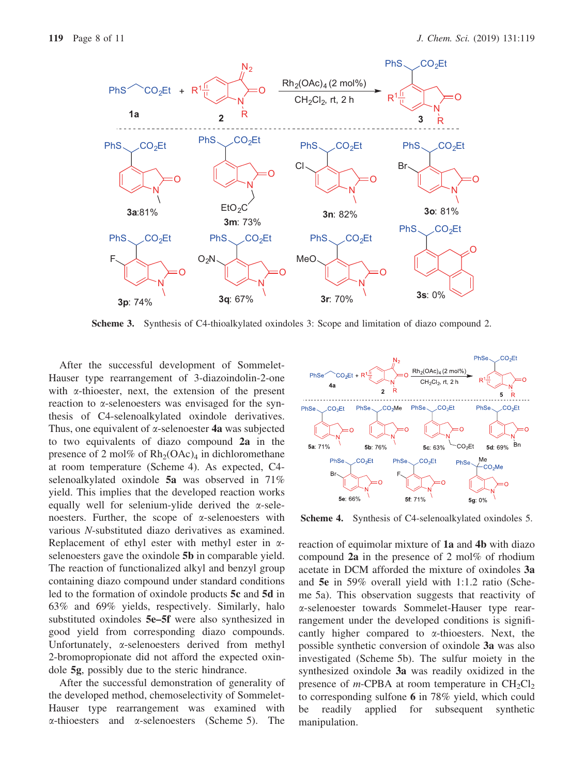

Scheme 3. Synthesis of C4-thioalkylated oxindoles 3: Scope and limitation of diazo compound 2.

After the successful development of Sommelet-Hauser type rearrangement of 3-diazoindolin-2-one with  $\alpha$ -thioester, next, the extension of the present reaction to a-selenoesters was envisaged for the synthesis of C4-selenoalkylated oxindole derivatives. Thus, one equivalent of  $\alpha$ -selenoester 4a was subjected to two equivalents of diazo compound 2a in the presence of 2 mol% of  $Rh_2(OAc)_4$  in dichloromethane at room temperature (Scheme 4). As expected, C4 selenoalkylated oxindole 5a was observed in 71% yield. This implies that the developed reaction works equally well for selenium-ylide derived the  $\alpha$ -selenoesters. Further, the scope of  $\alpha$ -selenoesters with various N-substituted diazo derivatives as examined. Replacement of ethyl ester with methyl ester in  $\alpha$ selenoesters gave the oxindole 5b in comparable yield. The reaction of functionalized alkyl and benzyl group containing diazo compound under standard conditions led to the formation of oxindole products 5c and 5d in 63% and 69% yields, respectively. Similarly, halo substituted oxindoles 5e–5f were also synthesized in good yield from corresponding diazo compounds. Unfortunately,  $\alpha$ -selenoesters derived from methyl 2-bromopropionate did not afford the expected oxindole 5g, possibly due to the steric hindrance.

After the successful demonstration of generality of the developed method, chemoselectivity of Sommelet-Hauser type rearrangement was examined with  $\alpha$ -thioesters and  $\alpha$ -selenoesters (Scheme 5). The



Scheme 4. Synthesis of C4-selenoalkylated oxindoles 5.

reaction of equimolar mixture of 1a and 4b with diazo compound 2a in the presence of 2 mol% of rhodium acetate in DCM afforded the mixture of oxindoles 3a and 5e in 59% overall yield with 1:1.2 ratio (Scheme 5a). This observation suggests that reactivity of a-selenoester towards Sommelet-Hauser type rearrangement under the developed conditions is significantly higher compared to  $\alpha$ -thioesters. Next, the possible synthetic conversion of oxindole 3a was also investigated (Scheme 5b). The sulfur moiety in the synthesized oxindole 3a was readily oxidized in the presence of *m*-CPBA at room temperature in  $CH_2Cl_2$ to corresponding sulfone 6 in 78% yield, which could be readily applied for subsequent synthetic manipulation.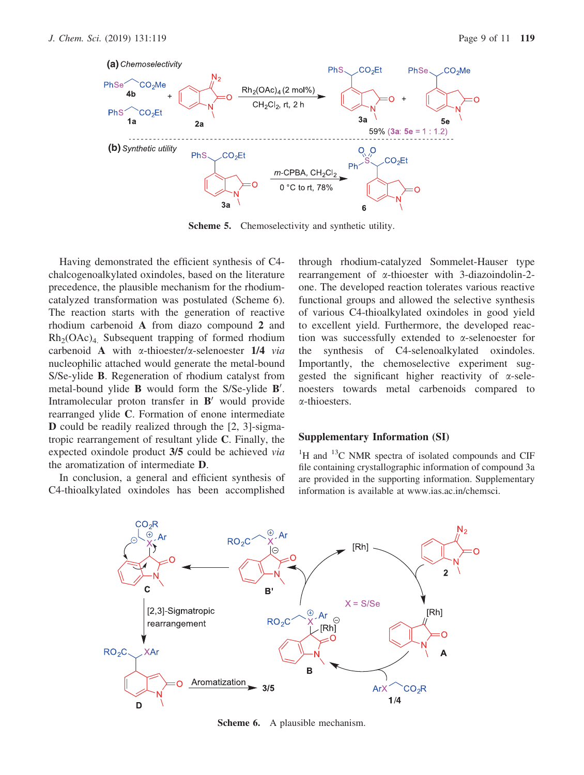

Scheme 5. Chemoselectivity and synthetic utility.

Having demonstrated the efficient synthesis of C4 chalcogenoalkylated oxindoles, based on the literature precedence, the plausible mechanism for the rhodiumcatalyzed transformation was postulated (Scheme 6). The reaction starts with the generation of reactive rhodium carbenoid A from diazo compound 2 and  $Rh<sub>2</sub>(OAc)<sub>4</sub>$ . Subsequent trapping of formed rhodium carbenoid A with  $\alpha$ -thioester/ $\alpha$ -selenoester 1/4 via nucleophilic attached would generate the metal-bound S/Se-ylide B. Regeneration of rhodium catalyst from metal-bound ylide  $\bf{B}$  would form the S/Se-ylide  $\bf{B}'$ . Intramolecular proton transfer in  $B'$  would provide rearranged ylide C. Formation of enone intermediate D could be readily realized through the [2, 3]-sigmatropic rearrangement of resultant ylide C. Finally, the expected oxindole product 3/5 could be achieved via the aromatization of intermediate D.

In conclusion, a general and efficient synthesis of C4-thioalkylated oxindoles has been accomplished

through rhodium-catalyzed Sommelet-Hauser type rearrangement of a-thioester with 3-diazoindolin-2 one. The developed reaction tolerates various reactive functional groups and allowed the selective synthesis of various C4-thioalkylated oxindoles in good yield to excellent yield. Furthermore, the developed reaction was successfully extended to a-selenoester for the synthesis of C4-selenoalkylated oxindoles. Importantly, the chemoselective experiment suggested the significant higher reactivity of  $\alpha$ -selenoesters towards metal carbenoids compared to a-thioesters.

### Supplementary Information (SI)

<sup>1</sup>H and <sup>13</sup>C NMR spectra of isolated compounds and CIF file containing crystallographic information of compound 3a are provided in the supporting information. Supplementary information is available at www.ias.ac.in/chemsci.



Scheme 6. A plausible mechanism.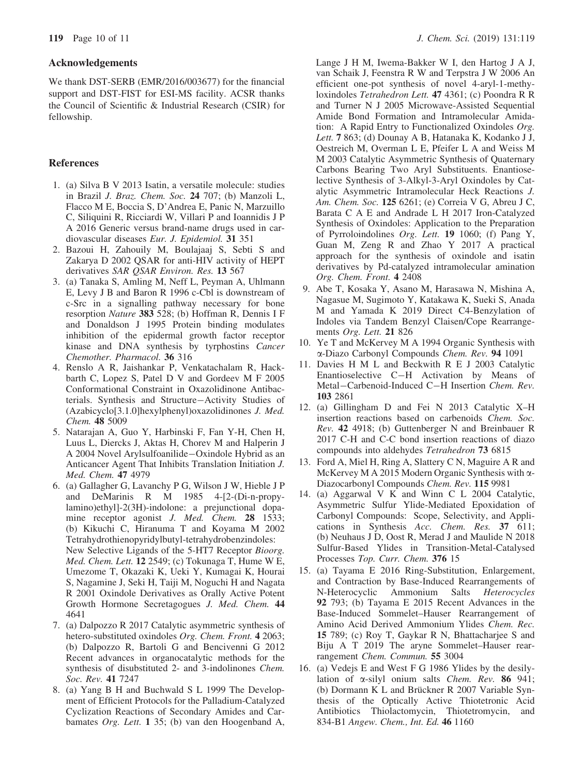### Acknowledgements

We thank DST-SERB (EMR/2016/003677) for the financial support and DST-FIST for ESI-MS facility. ACSR thanks the Council of Scientific & Industrial Research (CSIR) for fellowship.

### **References**

- 1. (a) Silva B V 2013 Isatin, a versatile molecule: studies in Brazil J. Braz. Chem. Soc. 24 707; (b) Manzoli L, Flacco M E, Boccia S, D'Andrea E, Panic N, Marzuillo C, Siliquini R, Ricciardi W, Villari P and Ioannidis J P A 2016 Generic versus brand-name drugs used in cardiovascular diseases Eur. J. Epidemiol. 31 351
- 2. Bazoui H, Zahouily M, Boulajaaj S, Sebti S and Zakarya D 2002 QSAR for anti-HIV activity of HEPT derivatives SAR OSAR Environ. Res. 13 567
- 3. (a) Tanaka S, Amling M, Neff L, Peyman A, Uhlmann E, Levy J B and Baron R 1996 c-Cbl is downstream of c-Src in a signalling pathway necessary for bone resorption Nature 383 528; (b) Hoffman R, Dennis I F and Donaldson J 1995 Protein binding modulates inhibition of the epidermal growth factor receptor kinase and DNA synthesis by tyrphostins Cancer Chemother. Pharmacol. 36 316
- 4. Renslo A R, Jaishankar P, Venkatachalam R, Hackbarth C, Lopez S, Patel D V and Gordeev M F 2005 Conformational Constraint in Oxazolidinone Antibacterials. Synthesis and Structure-Activity Studies of (Azabicyclo[3.1.0]hexylphenyl)oxazolidinones J. Med. Chem. 48 5009
- 5. Natarajan A, Guo Y, Harbinski F, Fan Y-H, Chen H, Luus L, Diercks J, Aktas H, Chorev M and Halperin J A 2004 Novel Arylsulfoanilide-Oxindole Hybrid as an Anticancer Agent That Inhibits Translation Initiation J. Med. Chem. 47 4979
- 6. (a) Gallagher G, Lavanchy P G, Wilson J W, Hieble J P and DeMarinis R M 1985 4-[2-(Di-n-propylamino)ethyl]-2(3H)-indolone: a prejunctional dopamine receptor agonist J. Med. Chem. 28 1533; (b) Kikuchi C, Hiranuma T and Koyama M 2002 Tetrahydrothienopyridylbutyl-tetrahydrobenzindoles: New Selective Ligands of the 5-HT7 Receptor Bioorg. Med. Chem. Lett. 12 2549; (c) Tokunaga T, Hume W E, Umezome T, Okazaki K, Ueki Y, Kumagai K, Hourai S, Nagamine J, Seki H, Taiji M, Noguchi H and Nagata R 2001 Oxindole Derivatives as Orally Active Potent Growth Hormone Secretagogues J. Med. Chem. 44 4641
- 7. (a) Dalpozzo R 2017 Catalytic asymmetric synthesis of hetero-substituted oxindoles Org. Chem. Front. 4 2063; (b) Dalpozzo R, Bartoli G and Bencivenni G 2012 Recent advances in organocatalytic methods for the synthesis of disubstituted 2- and 3-indolinones Chem. Soc. Rev. 41 7247
- 8. (a) Yang B H and Buchwald S L 1999 The Development of Efficient Protocols for the Palladium-Catalyzed Cyclization Reactions of Secondary Amides and Carbamates Org. Lett. 1 35; (b) van den Hoogenband A,

Lange J H M, Iwema-Bakker W I, den Hartog J A J, van Schaik J, Feenstra R W and Terpstra J W 2006 An efficient one-pot synthesis of novel 4-aryl-1-methyloxindoles Tetrahedron Lett. 47 4361; (c) Poondra R R and Turner N J 2005 Microwave-Assisted Sequential Amide Bond Formation and Intramolecular Amidation: A Rapid Entry to Functionalized Oxindoles Org. Lett. 7 863; (d) Dounay A B, Hatanaka K, Kodanko J J, Oestreich M, Overman L E, Pfeifer L A and Weiss M M 2003 Catalytic Asymmetric Synthesis of Quaternary Carbons Bearing Two Aryl Substituents. Enantioselective Synthesis of 3-Alkyl-3-Aryl Oxindoles by Catalytic Asymmetric Intramolecular Heck Reactions J. Am. Chem. Soc. 125 6261; (e) Correia V G, Abreu J C, Barata C A E and Andrade L H 2017 Iron-Catalyzed Synthesis of Oxindoles: Application to the Preparation of Pyrroloindolines Org. Lett. 19 1060; (f) Pang Y, Guan M, Zeng R and Zhao Y 2017 A practical approach for the synthesis of oxindole and isatin derivatives by Pd-catalyzed intramolecular amination Org. Chem. Front. 4 2408

- 9. Abe T, Kosaka Y, Asano M, Harasawa N, Mishina A, Nagasue M, Sugimoto Y, Katakawa K, Sueki S, Anada M and Yamada K 2019 Direct C4-Benzylation of Indoles via Tandem Benzyl Claisen/Cope Rearrangements Org. Lett. 21 826
- 10. Ye T and McKervey M A 1994 Organic Synthesis with a-Diazo Carbonyl Compounds Chem. Rev. 94 1091
- 11. Davies H M L and Beckwith R E J 2003 Catalytic Enantioselective C-H Activation by Means of Metal-Carbenoid-Induced C-H Insertion Chem. Rev. 103 2861
- 12. (a) Gillingham D and Fei N 2013 Catalytic X–H insertion reactions based on carbenoids Chem. Soc. Rev. 42 4918; (b) Guttenberger N and Breinbauer R 2017 C-H and C-C bond insertion reactions of diazo compounds into aldehydes Tetrahedron 73 6815
- 13. Ford A, Miel H, Ring A, Slattery C N, Maguire A R and McKervey M A 2015 Modern Organic Synthesis with  $\alpha$ -Diazocarbonyl Compounds Chem. Rev. 115 9981
- 14. (a) Aggarwal V K and Winn C L 2004 Catalytic, Asymmetric Sulfur Ylide-Mediated Epoxidation of Carbonyl Compounds: Scope, Selectivity, and Applications in Synthesis Acc. Chem. Res. 37 611; (b) Neuhaus J D, Oost R, Merad J and Maulide N 2018 Sulfur-Based Ylides in Transition-Metal-Catalysed Processes Top. Curr. Chem. 376 15
- 15. (a) Tayama E 2016 Ring-Substitution, Enlargement, and Contraction by Base-Induced Rearrangements of N-Heterocyclic Ammonium Salts Heterocycles 92 793; (b) Tayama E 2015 Recent Advances in the Base-Induced Sommelet–Hauser Rearrangement of Amino Acid Derived Ammonium Ylides Chem. Rec. 15 789; (c) Roy T, Gaykar R N, Bhattacharjee S and Biju A T 2019 The aryne Sommelet–Hauser rearrangement Chem. Commun. 55 3004
- 16. (a) Vedejs E and West F G 1986 Ylides by the desilylation of  $\alpha$ -silyl onium salts *Chem. Rev.* 86 941; (b) Dormann K L and Brückner R 2007 Variable Synthesis of the Optically Active Thiotetronic Acid Antibiotics Thiolactomycin, Thiotetromycin, and 834-B1 Angew. Chem., Int. Ed. 46 1160